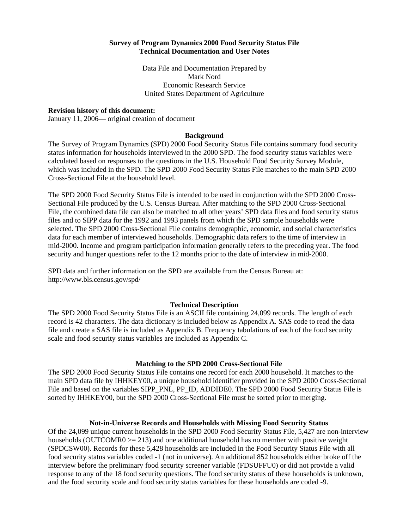## **Survey of Program Dynamics 2000 Food Security Status File Technical Documentation and User Notes**

Data File and Documentation Prepared by Mark Nord Economic Research Service United States Department of Agriculture

## **Revision history of this document:**

January 11, 2006— original creation of document

#### **Background**

The Survey of Program Dynamics (SPD) 2000 Food Security Status File contains summary food security status information for households interviewed in the 2000 SPD. The food security status variables were calculated based on responses to the questions in the U.S. Household Food Security Survey Module, which was included in the SPD. The SPD 2000 Food Security Status File matches to the main SPD 2000 Cross-Sectional File at the household level.

The SPD 2000 Food Security Status File is intended to be used in conjunction with the SPD 2000 Cross-Sectional File produced by the U.S. Census Bureau. After matching to the SPD 2000 Cross-Sectional File, the combined data file can also be matched to all other years' SPD data files and food security status files and to SIPP data for the 1992 and 1993 panels from which the SPD sample households were selected. The SPD 2000 Cross-Sectional File contains demographic, economic, and social characteristics data for each member of interviewed households. Demographic data refers to the time of interview in mid-2000. Income and program participation information generally refers to the preceding year. The food security and hunger questions refer to the 12 months prior to the date of interview in mid-2000.

SPD data and further information on the SPD are available from the Census Bureau at: http://www.bls.census.gov/spd/

#### **Technical Description**

The SPD 2000 Food Security Status File is an ASCII file containing 24,099 records. The length of each record is 42 characters. The data dictionary is included below as Appendix A. SAS code to read the data file and create a SAS file is included as Appendix B. Frequency tabulations of each of the food security scale and food security status variables are included as Appendix C.

#### **Matching to the SPD 2000 Cross-Sectional File**

The SPD 2000 Food Security Status File contains one record for each 2000 household. It matches to the main SPD data file by IHHKEY00, a unique household identifier provided in the SPD 2000 Cross-Sectional File and based on the variables SIPP\_PNL, PP\_ID, ADDIDE0. The SPD 2000 Food Security Status File is sorted by IHHKEY00, but the SPD 2000 Cross-Sectional File must be sorted prior to merging.

## **Not-in-Universe Records and Households with Missing Food Security Status**

Of the 24,099 unique current households in the SPD 2000 Food Security Status File, 5,427 are non-interview households (OUTCOMR0 $>= 213$ ) and one additional household has no member with positive weight (SPDCSW00). Records for these 5,428 households are included in the Food Security Status File with all food security status variables coded -1 (not in universe). An additional 852 households either broke off the interview before the preliminary food security screener variable (FDSUFFU0) or did not provide a valid response to any of the 18 food security questions. The food security status of these households is unknown, and the food security scale and food security status variables for these households are coded -9.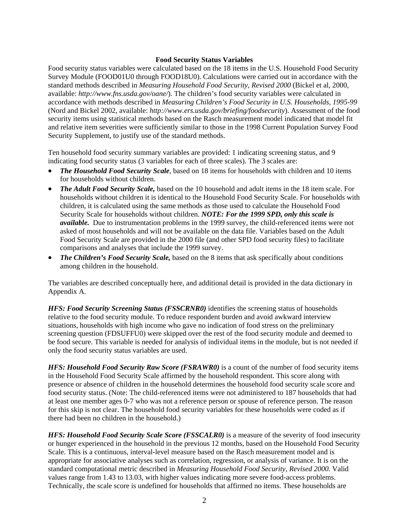## **Food Security Status Variables**

Food security status variables were calculated based on the 18 items in the U.S. Household Food Security Survey Module (FOOD01U0 through FOOD18U0). Calculations were carried out in accordance with the standard methods described in *Measuring Household Food Security, Revised 2000* (Bickel et al, 2000, available: *http://www.fns.usda.gov/oane/*). The children's food security variables were calculated in accordance with methods described in *Measuring Children's Food Security in U.S. Households, 1995-99* (Nord and Bickel 2002, available: *http://www.ers.usda.gov/briefing/foodsecurity*). Assessment of the food security items using statistical methods based on the Rasch measurement model indicated that model fit and relative item severities were sufficiently similar to those in the 1998 Current Population Survey Food Security Supplement, to justify use of the standard methods.

Ten household food security summary variables are provided: 1 indicating screening status, and 9 indicating food security status (3 variables for each of three scales). The 3 scales are:

- *The Household Food Security Scale*, based on 18 items for households with children and 10 items for households without children.
- *The Adult Food Security Scale,* based on the 10 household and adult items in the 18 item scale. For households without children it is identical to the Household Food Security Scale. For households with children, it is calculated using the same methods as those used to calculate the Household Food Security Scale for households without children. *NOTE: For the 1999 SPD, only this scale is available.* Due to instrumentation problems in the 1999 survey, the child-referenced items were not asked of most households and will not be available on the data file. Variables based on the Adult Food Security Scale are provided in the 2000 file (and other SPD food security files) to facilitate comparisons and analyses that include the 1999 survey.
- *The Children's Food Security Scale,* based on the 8 items that ask specifically about conditions among children in the household.

The variables are described conceptually here, and additional detail is provided in the data dictionary in Appendix A.

*HFS: Food Security Screening Status (FSSCRNR0)* identifies the screening status of households relative to the food security module. To reduce respondent burden and avoid awkward interview situations, households with high income who gave no indication of food stress on the preliminary screening question (FDSUFFU0) were skipped over the rest of the food security module and deemed to be food secure. This variable is needed for analysis of individual items in the module, but is not needed if only the food security status variables are used.

*HFS: Household Food Security Raw Score (FSRAWR0)* is a count of the number of food security items in the Household Food Security Scale affirmed by the household respondent. This score along with presence or absence of children in the household determines the household food security scale score and food security status. (Note: The child-referenced items were not administered to 187 households that had at least one member ages 0-7 who was not a reference person or spouse of reference person. The reason for this skip is not clear. The household food security variables for these households were coded as if there had been no children in the household.)

*HFS: Household Food Security Scale Score (FSSCALR0)* is a measure of the severity of food insecurity or hunger experienced in the household in the previous 12 months, based on the Household Food Security Scale. This is a continuous, interval-level measure based on the Rasch measurement model and is appropriate for associative analyses such as correlation, regression, or analysis of variance. It is on the standard computational metric described in *Measuring Household Food Security, Revised 2000.* Valid values range from 1.43 to 13.03, with higher values indicating more severe food-access problems. Technically, the scale score is undefined for households that affirmed no items. These households are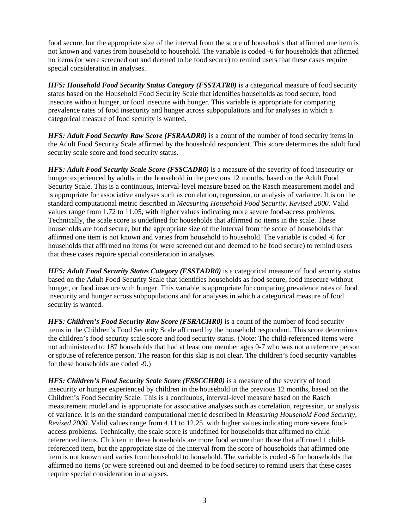food secure, but the appropriate size of the interval from the score of households that affirmed one item is not known and varies from household to household. The variable is coded -6 for households that affirmed no items (or were screened out and deemed to be food secure) to remind users that these cases require special consideration in analyses.

*HFS: Household Food Security Status Category (FSSTATR0)* is a categorical measure of food security status based on the Household Food Security Scale that identifies households as food secure, food insecure without hunger, or food insecure with hunger. This variable is appropriate for comparing prevalence rates of food insecurity and hunger across subpopulations and for analyses in which a categorical measure of food security is wanted.

*HFS: Adult Food Security Raw Score (FSRAADR0)* is a count of the number of food security items in the Adult Food Security Scale affirmed by the household respondent. This score determines the adult food security scale score and food security status.

*HFS: Adult Food Security Scale Score (FSSCADR0)* is a measure of the severity of food insecurity or hunger experienced by adults in the household in the previous 12 months, based on the Adult Food Security Scale. This is a continuous, interval-level measure based on the Rasch measurement model and is appropriate for associative analyses such as correlation, regression, or analysis of variance. It is on the standard computational metric described in *Measuring Household Food Security, Revised 2000.* Valid values range from 1.72 to 11.05, with higher values indicating more severe food-access problems. Technically, the scale score is undefined for households that affirmed no items in the scale. These households are food secure, but the appropriate size of the interval from the score of households that affirmed one item is not known and varies from household to household. The variable is coded -6 for households that affirmed no items (or were screened out and deemed to be food secure) to remind users that these cases require special consideration in analyses.

*HFS: Adult Food Security Status Category (FSSTADR0)* is a categorical measure of food security status based on the Adult Food Security Scale that identifies households as food secure, food insecure without hunger, or food insecure with hunger. This variable is appropriate for comparing prevalence rates of food insecurity and hunger across subpopulations and for analyses in which a categorical measure of food security is wanted.

*HFS: Children's Food Security Raw Score (FSRACHR0)* is a count of the number of food security items in the Children's Food Security Scale affirmed by the household respondent. This score determines the children's food security scale score and food security status. (Note: The child-referenced items were not administered to 187 households that had at least one member ages 0-7 who was not a reference person or spouse of reference person. The reason for this skip is not clear. The children's food security variables for these households are coded -9.)

*HFS: Children's Food Security Scale Score (FSSCCHR0)* is a measure of the severity of food insecurity or hunger experienced by children in the household in the previous 12 months, based on the Children's Food Security Scale. This is a continuous, interval-level measure based on the Rasch measurement model and is appropriate for associative analyses such as correlation, regression, or analysis of variance. It is on the standard computational metric described in *Measuring Household Food Security, Revised 2000.* Valid values range from 4.11 to 12.25, with higher values indicating more severe foodaccess problems. Technically, the scale score is undefined for households that affirmed no childreferenced items. Children in these households are more food secure than those that affirmed 1 childreferenced item, but the appropriate size of the interval from the score of households that affirmed one item is not known and varies from household to household. The variable is coded -6 for households that affirmed no items (or were screened out and deemed to be food secure) to remind users that these cases require special consideration in analyses.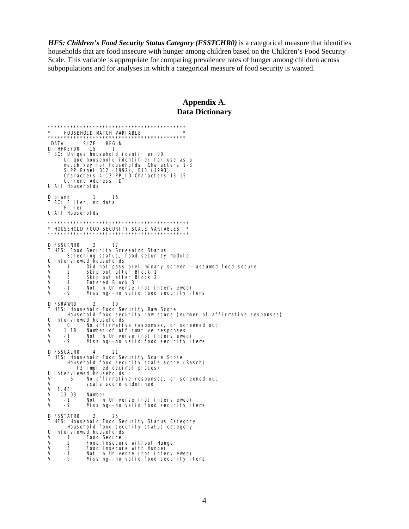*HFS: Children's Food Security Status Category (FSSTCHR0)* is a categorical measure that identifies households that are food insecure with hunger among children based on the Children's Food Security Scale. This variable is appropriate for comparing prevalence rates of hunger among children across subpopulations and for analyses in which a categorical measure of food security is wanted.

## **Appendix A. Data Dictionary**

\*\*\*\*\*\*\*\*\*\*\*\*\*\*\*\*\*\*\*\*\*\*\*\*\*\*\*\*\*\*\*\*\*\*\*\*\*\*\*\*\*\*\* \* HOUSEHOLD MATCH VARI ABLE \*\*\*\*\*\*\*\*\*\*\*\*\*\*\*\*\*\*\*\*\*\*\*\*\*\*\*\*\*\*\*\*\*\*\*\*\*\*\*\*\*\*\* DATA SIZE BEGIN<br>DIHHKFYOO 15 1 D I HHKEY00 15 T SC: Unique household identifier 00 Unique household identifier for use as a match key for households. Characters 1-3 SIPP Panel B12 (1992), B13 (1993) Characters 4-12 PP\_ID Characters 13-15 Current Address ID U All Households D blank 1 16 T SC: Filler, no data Filler U All Households \*\*\*\*\*\*\*\*\*\*\*\*\*\*\*\*\*\*\*\*\*\*\*\*\*\*\*\*\*\*\*\*\*\*\*\*\*\*\*\*\*\*\*\* \* HOUSEHOLD FOOD SECURITY SCALE VARIABLES \* \*\*\*\*\*\*\*\*\*\*\*\*\*\*\*\*\*\*\*\*\*\*\*\*\*\*\*\*\*\*\*\*\*\*\*\*\*\*\*\*\*\*\*\* D FSSCRNR0 2 17 T HFS: Food Security Screening Status Screening status, food security module U Interviewed households<br>V 1 .Did not pass V 1 .Did not pass preliminary screen - assumed food secure V 2 .Skip out after Block 1 V 3 .Skip out after Block 2 V 4 . Entered Block 3<br>V -1 . Not In Universe V -1 .Not In Universe (not interviewed) V -9 .Missing--no valid food security items D FSRAWR0 2 19 T HFS: Household Food Security Raw Score Household food security raw score (number of affirmative responses) U Interviewed households V 0 .No affirmative responses, or screened out V 1:18 .Number of affirmative responses V -1 .Not In Universe (not interviewed) V -9 .Missing--no valid food security items D FSSCALR0 4 21 T HFS: Household Food Security Scale Score Household food security scale score (Rasch) (2 implied decimal places) U Interviewed households<br>V -6 .No affirmativ V -6 . No affirmative responses, or screened out<br>V scale score undefined  $V = 1.43$ : scale score undefined V 1.43:<br>V 13.03 V 13.03 .Number V -1 .Not In Universe (not interviewed) .Missing--no valid food security items D FSSTATRO 2 25 T HFS: Household Food Security Status Category Household food security status category U Interviewed households V 1 .Food Secure V 2 .Food Insecure without Hunger V 3 . Food Insecure with Hunger<br>V -1 . Not In Universe (not inte V -1 .Not In Universe (not interviewed) . Missing--no valid food security items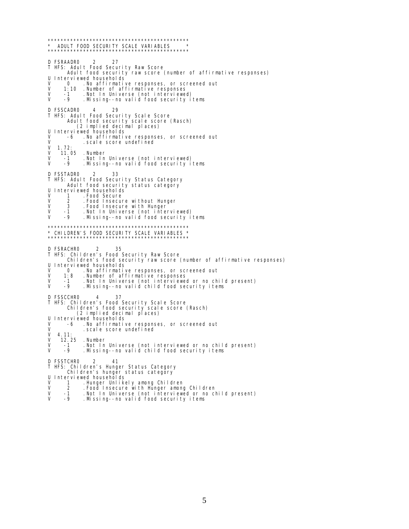\*\*\*\*\*\*\*\*\*\*\*\*\*\*\*\*\*\*\*\*\*\*\*\*\*\*\*\*\*\*\*\*\*\*\*\*\*\*\*\*\*\*\*\* \* ADULT FOOD SECURITY SCALE VARIABLES \*\*\*\*\*\*\*\*\*\*\*\*\*\*\*\*\*\*\*\*\*\*\*\*\*\*\*\*\*\*\*\*\*\*\*\*\*\*\*\*\*\*\*\* D FSRAADRO 2 27 T HFS: Adult Food Security Raw Score Adult food security raw score (number of affirmative responses) U Interviewed households<br>V 0 No affirmative V 0 .No affirmative responses, or screened out V 1:10 .Number of affirmative responses V -1 .Not In Universe (not interviewed) V -9 .Missing--no valid food security items D FSSCADR0 4 29 T HFS: Adult Food Security Scale Score Adult food security scale score (Rasch) (2 implied decimal places) U Interviewed households<br>V -6 .No affirmativ V -6 . No affirmative responses, or screened out<br>V scale score undefined V .scale score undefined<br>V 1.72:  $V = 1.72:$ <br> $V = 11.6$ V 11.05 .Number V -1 .Not In Universe (not interviewed) Missing--no valid food security items D FSSTADR0 2 33 T HFS: Adult Food Security Status Category Adult food security status category U Interviewed households<br>V 1 Food Secure V 1 . Food Secure<br>V 2 . Food Insecur V 2 . Food Insecure without Hunger<br>V 3 . Food Insecure with Hunger V 3 . Food Insecure with Hunger<br>V -1 . Not In Universe (not inte V -1 .Not In Universe (not interviewed) V -9 .Missing--no valid food security items \*\*\*\*\*\*\*\*\*\*\*\*\*\*\*\*\*\*\*\*\*\*\*\*\*\*\*\*\*\*\*\*\*\*\*\*\*\*\*\*\*\*\*\* \* CHILDREN'S FOOD SECURITY SCALE VARIABLES \* \*\*\*\*\*\*\*\*\*\*\*\*\*\*\*\*\*\*\*\*\*\*\*\*\*\*\*\*\*\*\*\*\*\*\*\*\*\*\*\*\*\*\*\* D FSRACHR0 2 35 T HFS: Children's Food Security Raw Score Children's food security raw score (number of affirmative responses) U Interviewed households<br>V 0 No affirmativ V 0 . No affirmative responses, or screened out<br>V 1:8 . Number of affirmative responses V 1:8 .Number of affirmative responses V -1 .Not In Universe (not interviewed or no child present) V -9 .Missing--no valid child food security items D FSSCCHRO 4 37 T HFS: Children's Food Security Scale Score Children's food security scale score (Rasch) (2 implied decimal places) U Interviewed households<br>V -6 .No affirmativ V -6 .No affirmative responses, or screened out V  $\begin{array}{c} \sim \text{Scal} \\ \text{V} & \text{4.11} \end{array}$  . scal e score undefined V 4.11:<br>V 12.25 V 12.25 .Number V -1 .Not In Universe (not interviewed or no child present)<br>V -9 .Missing--no valid child food security items  $M$  . Missing--no valid child food security items D FSSTCHRO 2 41 T HFS: Children's Hunger Status Category Children's hunger status category U Interviewed households<br>V 1 .Hunger Unlike V 1 .Hunger Unlikely among Children<br>V 2 .Food Insecure with Hunger among

- V 2 .Food Insecure with Hunger among Children<br>V -1 .Not In Universe (not interviewed or no child present)<br>V -9 .Missing--no valid food security items
-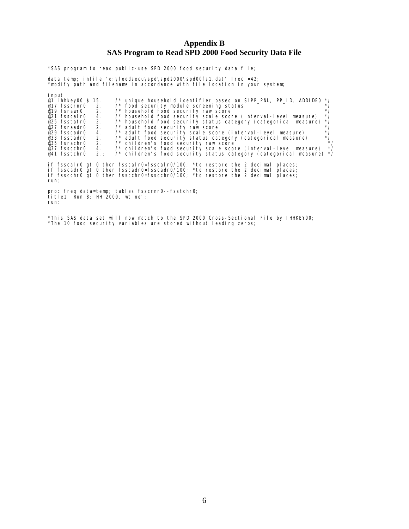## **Appendix B SAS Program to Read SPD 2000 Food Security Data File**

\*SAS program to read public-use SPD 2000 food security data file;

data temp; infile 'd:\foodsecu\spd\spd2000\spd00fs1.dat' lrecl=42; \*modify path and filename in accordance with file location in your system;

| i nput<br>@1 i hhkey00 \$15.<br>$\gamma^*$ unique household identifier based on SIPP PNL, PP ID, ADDIDEO */<br>$\prime\prime$ food security module screening status<br>$*$ /<br>@17 $fsscrnr0$ 2.<br>$@19$ fsrawr0 2.<br>/* household food security raw score<br>$*$<br>$^{\star}$ /<br>/* household food security scale score (interval-level measure)<br>4.<br>@21 fsscal r0<br>$^*/$<br>/* household food security status category (categorical measure)<br>@25 fsstatr0 2.<br>$*$ /<br>@27 fsraadr0 2.<br>$\prime$ * adult food security raw score<br>$^{\star}$ /<br>/* adult food security scale score (interval-level measure)<br>@29 fsscadr0<br>4.<br>$^{\star}$ /<br>@33 fsstadr0 2.<br>/* adult food security status category (categorical measure)<br>@35 fsrachr0 2. /* children's food security raw score<br>$*$ /<br>$^*/$<br>4. /* children's food security scale score (interval-level measure)<br>@37 fsscchr0<br>/* children's food security status category (categorical measure) */<br>@41 fsstchr0<br>2. :<br>if fsscalr0 gt 0 then fsscalr0=fsscalr0/100; *to restore the 2 decimal<br>pl aces;<br>if fsscadr0 gt 0 then fsscadr0=fsscadr0/100; *to restore the 2 decimal<br>pl aces;<br>if fsscchr0 qt 0 then fsscchr0=fsscchr0/100; *to restore the 2 decimal<br>pl aces:<br>run; |
|------------------------------------------------------------------------------------------------------------------------------------------------------------------------------------------------------------------------------------------------------------------------------------------------------------------------------------------------------------------------------------------------------------------------------------------------------------------------------------------------------------------------------------------------------------------------------------------------------------------------------------------------------------------------------------------------------------------------------------------------------------------------------------------------------------------------------------------------------------------------------------------------------------------------------------------------------------------------------------------------------------------------------------------------------------------------------------------------------------------------------------------------------------------------------------------------------------------------------------------------------------------------------------------------------------|
| proc freq data=temp; tables fsscrnr0--fsstchr0;<br>title1 'Run 8: HH 2000, wt no';<br>run;                                                                                                                                                                                                                                                                                                                                                                                                                                                                                                                                                                                                                                                                                                                                                                                                                                                                                                                                                                                                                                                                                                                                                                                                                 |

\*This SAS data set will now match to the SPD 2000 Cross-Sectional File by IHHKEY00; \*The 10 food security variables are stored without leading zeros;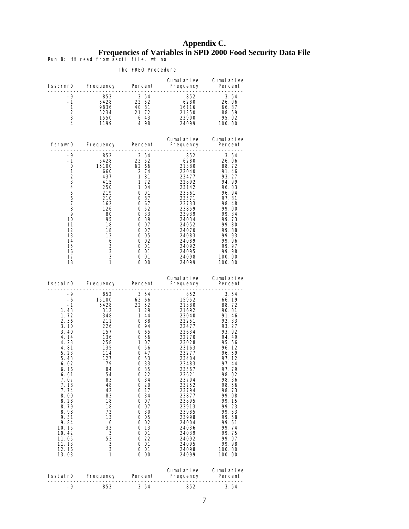# **Appendix C. Frequencies of Variables in SPD 2000 Food Security Data File**

Run 8: HH read from ascii file, wt no

| fsscrnr0                                                                                                                                                                                                                                                 | Frequency Percent                                                                                                                                                                                 |                                                                                                                                                                                                                                                            | Cumulative<br>Frequency                                                                                                                                                                                                                                                           | Cumulative<br>Percent<br>---------                                                                                                                                                                                                                                                    |
|----------------------------------------------------------------------------------------------------------------------------------------------------------------------------------------------------------------------------------------------------------|---------------------------------------------------------------------------------------------------------------------------------------------------------------------------------------------------|------------------------------------------------------------------------------------------------------------------------------------------------------------------------------------------------------------------------------------------------------------|-----------------------------------------------------------------------------------------------------------------------------------------------------------------------------------------------------------------------------------------------------------------------------------|---------------------------------------------------------------------------------------------------------------------------------------------------------------------------------------------------------------------------------------------------------------------------------------|
| -9<br>$-1$<br>$\mathbf{1}$<br>2<br>3<br>4                                                                                                                                                                                                                | 852<br>5428<br>9836<br>5234<br>1550<br>1199                                                                                                                                                       | 3.54<br>22.52<br>40.81<br>21.72<br>6.43<br>4.98                                                                                                                                                                                                            | 852<br>6280<br>16116<br>21250<br>21350<br>22900<br>24099                                                                                                                                                                                                                          | 3.54<br>26.06<br>66.87<br>88.59<br>95.02<br>100.00                                                                                                                                                                                                                                    |
| fsrawr0                                                                                                                                                                                                                                                  | Frequency Percent                                                                                                                                                                                 |                                                                                                                                                                                                                                                            | Cumulative<br>Frequency                                                                                                                                                                                                                                                           | Cumul ative<br>Percent                                                                                                                                                                                                                                                                |
| -9<br>-1<br>0<br>1<br>$\overline{2}$<br>3<br>4<br>5<br>6<br>7<br>8<br>9<br>10<br>11<br>12<br>13<br>14<br>15<br>16<br>17<br>18                                                                                                                            | 852<br>5428<br>15100<br>660<br>437<br>415<br>250<br>219<br>210<br>162<br>126<br>-80<br>95<br>18<br>18<br>13<br>6<br>3<br>$\overline{3}$<br>$\overline{3}$<br>$\mathbf{1}$                         | 3.54<br>22.52<br>62.66<br>2.74<br>1.81<br>1.72<br>1.04<br>0. 91<br>0. 87<br>0.67<br>0.52<br>0. 33<br>0.39<br>0.07<br>0.07<br>0. 05<br>0.02<br>0.01<br>0.01<br>0.01<br>0.00                                                                                 | 852<br>6280<br>21380<br>22040<br>22477<br>22892<br>23142<br>23361<br>23571<br>23733<br>23859<br>23939<br>24034<br>24052<br>24070<br>24083<br>24089<br>24092<br>24095<br>24098<br>24099                                                                                            | 3.54<br>26.06<br>88.72<br>91.46<br>93.27<br>94.99<br>96.03<br>96.94<br>97.81<br>98.48<br>99.00<br>99.34<br>99.73<br>99.80<br>99.88<br>99.93<br>99.96<br>99.97<br>99.98<br>100.00<br>100.00                                                                                            |
| fsscal r0                                                                                                                                                                                                                                                | Frequency Percent                                                                                                                                                                                 | .                                                                                                                                                                                                                                                          | Cumulative<br>Frequency<br>- - - - - - - - <b>-</b>                                                                                                                                                                                                                               | Cumulative<br>Percent                                                                                                                                                                                                                                                                 |
| -9<br>-6<br>$-1$<br>1.43<br>1.72<br>2.56<br>3.10<br>3.40<br>4.14<br>4.23<br>4.81<br>5.23<br>5.43<br>6.02<br>6.16<br>6. 61<br>7.07<br>7.18<br>7.74<br>8.00<br>8.28<br>8.79<br>8.98<br>9.31<br>9.84<br>10.15<br>10.42<br>11.05<br>11. 13<br>12.16<br>13.03 | 852<br>15100<br>5428<br>312<br>348<br>211<br>226<br>157<br>136<br>258<br>135<br>114<br>127<br>79<br>84<br>54<br>83<br>48<br>42<br>83<br>18<br>18<br>72<br>13<br>6<br>32<br>3<br>53<br>3<br>3<br>1 | 3.54<br>62.66<br>22.52<br>1.29<br>1.44<br>0.88<br>0.94<br>0. 65<br>0. 56<br>1.07<br>0.56<br>0.47<br>0.53<br>0.33<br>0.35<br>0. 22<br>0.34<br>0.20<br>0.17<br>0.34<br>0.07<br>0.07<br>0.30<br>0.05<br>0.02<br>0.13<br>0.01<br>0. 22<br>0.01<br>0.01<br>0.00 | 852<br>15952<br>21380<br>21692<br>22040<br>22251<br>22477<br>22634<br>22770<br>23028<br>23163<br>23277<br>23404<br>23483<br>23567<br>23621<br>23704<br>23752<br>23794<br>23877<br>23895<br>23913<br>23985<br>23998<br>24004<br>24036<br>24039<br>24092<br>24095<br>24098<br>24099 | 3.54<br>66.19<br>88.72<br>90.01<br>91.46<br>92.33<br>93.27<br>93.92<br>94.49<br>95.56<br>96.12<br>96.59<br>97.12<br>97.44<br>97.79<br>98.02<br>98.36<br>98.56<br>98.73<br>99.08<br>99.15<br>99.23<br>99.53<br>99.58<br>99.61<br>99. 74<br>99.75<br>99.97<br>99.98<br>100.00<br>100.00 |
| fsstatr0                                                                                                                                                                                                                                                 | Frequency                                                                                                                                                                                         | Percent                                                                                                                                                                                                                                                    | Cumulative<br>Frequency                                                                                                                                                                                                                                                           | Cumulative<br>Percent                                                                                                                                                                                                                                                                 |
| -9                                                                                                                                                                                                                                                       | 852                                                                                                                                                                                               | 3. 54                                                                                                                                                                                                                                                      | 852                                                                                                                                                                                                                                                                               | 3.54                                                                                                                                                                                                                                                                                  |

#### The FREQ Procedure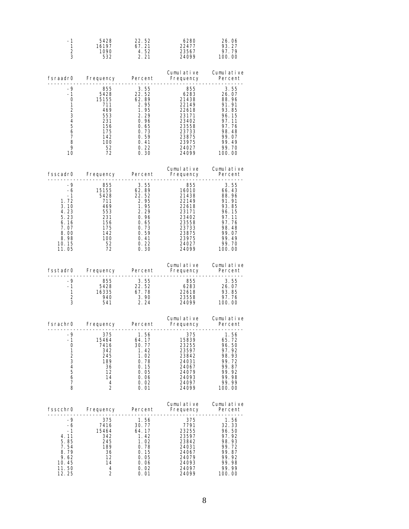| -1<br>$\frac{1}{2}$<br>$\frac{2}{3}$                                                                                            | 5428<br>532                                                               | 22.52<br>16197 67.21<br>1090 4.52<br>2.21                                                                                                                                      | 6280<br>22477<br>23567<br>24099                                                                                                          | 26.06<br>93.27<br>97.79<br>100.00                                                                                         |
|---------------------------------------------------------------------------------------------------------------------------------|---------------------------------------------------------------------------|--------------------------------------------------------------------------------------------------------------------------------------------------------------------------------|------------------------------------------------------------------------------------------------------------------------------------------|---------------------------------------------------------------------------------------------------------------------------|
|                                                                                                                                 |                                                                           |                                                                                                                                                                                |                                                                                                                                          | Cumulative Cumulative                                                                                                     |
| -9<br>$\frac{-1}{0}$<br>1.<br>$\sqrt{2}$<br>$\mathsf 3$<br>$\overline{4}$<br>$\mathbf 5$<br>6<br>$\overline{7}$<br>8<br>9<br>10 | $711$<br>469<br>553<br>231<br>156<br>175<br>142<br>$\frac{100}{52}$<br>72 | $855$ 3.55<br>5428 22.52<br>15155 62.89<br>711 62.89<br>$\begin{array}{r} 2.95 \\ 1.95 \\ 2.29 \\ 0.96 \end{array}$<br>$0.65$<br>0.73<br>0.59<br>0. 59<br>0.41<br>0.22<br>0.30 | $855$<br>$6283$<br>$21438$<br>$22149$<br>22618<br>22618<br>23171<br>23402<br>23558<br>23733<br>23875<br>23875<br>23975<br>24027<br>24099 | $3.55$<br>$26.07$<br>$88.96$<br>$91.91$<br>93.85<br>96.15<br>97.11<br>97.76<br>98.48<br>99.07<br>99.49<br>99.70<br>100.00 |
|                                                                                                                                 | -----------                                                               | -----------                                                                                                                                                                    | fsscadr0 Frequency Percent Frequency Percent                                                                                             | Cumulative Cumulative                                                                                                     |
| $-9$<br>$-6$<br>$-1$<br>1.72<br>3.10<br>4.23<br>5.23<br>6.16<br>7.07<br>8.00<br>8.98<br>10.15<br>11.05                          | 156<br>175<br>142<br>100<br>52<br>72<br>72                                | $\begin{array}{cccc} 855 & 3.55 \\ 85428 & 22.52 \\ 711 & 2.95 \\ 553 & 2.29 \\ 231 & 0.95 \\ 156 & 0.45 \\ \end{array}$<br>$0.65$<br>0.73<br>0.59<br>0.41<br>0.22<br>0.30     | $855$<br>16010<br>21438<br>22149<br>22618<br>22618<br>23171<br>23402<br>23558<br>23733<br>23875<br>23875<br>23975<br>24027<br>24099      | 3.55<br>66.43<br>88.96<br>91.91<br>93.85<br>96.15<br>97.11<br>97.76<br>98.48<br>99.07<br>99.49<br>99.70<br>100.00         |
|                                                                                                                                 |                                                                           |                                                                                                                                                                                | fsstadr0 Frequency Percent Frequency Percent                                                                                             | Cumulative Cumulative                                                                                                     |
| -9<br>$\frac{-1}{1}$<br>$\frac{2}{3}$                                                                                           | -----------                                                               | <u> - - - - - - - - - -</u>                                                                                                                                                    | . _ _ _ _ _ _ _ _ _ _ _ _ .                                                                                                              | . _ _ _ _ _ _ _ _ _ _ _ _                                                                                                 |
|                                                                                                                                 |                                                                           |                                                                                                                                                                                |                                                                                                                                          |                                                                                                                           |
| -9<br>-1<br>0<br>1<br>$\begin{array}{c} 2 \\ 3 \\ 4 \end{array}$<br>5<br>$\overline{6}$<br>$\overline{7}$<br>8                  | 375<br>15464<br>7416<br>342<br>245<br>189<br>36<br>12<br>14<br>4<br>2     | 1.56<br>64.17<br>30.77<br>1.42<br>1.02<br>0.78<br>0.15<br>0. 05<br>0.06<br>0. 02<br>0. 01                                                                                      | 375<br>15839<br>23255<br>23597<br>23842<br>24031<br>24067<br>24079<br>24093<br>24097<br>24099                                            | 1.56<br>65.72<br>96.50<br>97.92<br>98.93<br>99. 72<br>99.87<br>99.92<br>99.98<br>99.99<br>100.00                          |
| fsscchr0                                                                                                                        | Frequency                                                                 | Percent                                                                                                                                                                        | Cumulative<br>Frequency                                                                                                                  | Cumulative<br>Percent                                                                                                     |
| -9<br>-6<br>-1<br>4.11<br>5.85<br>7.54<br>8.79<br>9.62<br>10.45<br>11.50<br>12.25                                               | 375<br>7416<br>15464<br>342<br>245<br>189<br>36<br>12<br>14<br>4<br>2     | 1.56<br>30. 77<br>64.17<br>1.42<br>1.02<br>0.78<br>0. 15<br>0.05<br>0.06<br>0. 02<br>0.01                                                                                      | 375<br>7791<br>23255<br>23597<br>23842<br>24031<br>24067<br>24079<br>24093<br>24097<br>24099                                             | 1.56<br>32.33<br>96.50<br>97.92<br>98.93<br>99.72<br>99.87<br>99.92<br>99.98<br>99.99<br>100.00                           |